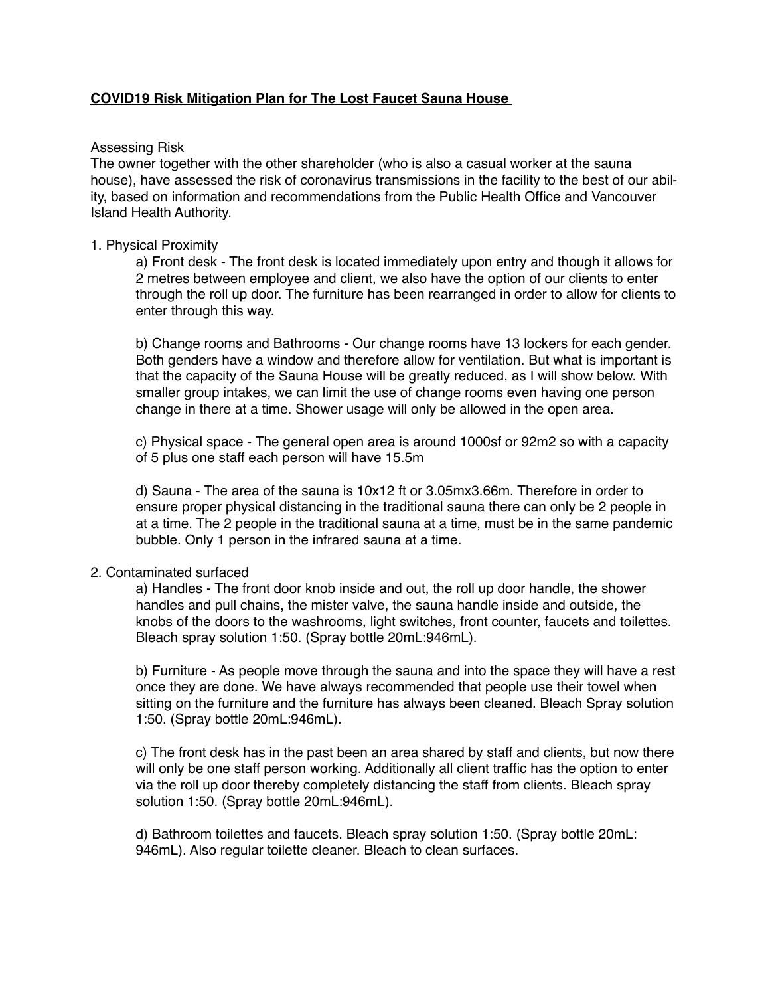#### **COVID19 Risk Mitigation Plan for The Lost Faucet Sauna House**

#### Assessing Risk

The owner together with the other shareholder (who is also a casual worker at the sauna house), have assessed the risk of coronavirus transmissions in the facility to the best of our ability, based on information and recommendations from the Public Health Office and Vancouver Island Health Authority.

#### 1. Physical Proximity

a) Front desk - The front desk is located immediately upon entry and though it allows for 2 metres between employee and client, we also have the option of our clients to enter through the roll up door. The furniture has been rearranged in order to allow for clients to enter through this way.

b) Change rooms and Bathrooms - Our change rooms have 13 lockers for each gender. Both genders have a window and therefore allow for ventilation. But what is important is that the capacity of the Sauna House will be greatly reduced, as I will show below. With smaller group intakes, we can limit the use of change rooms even having one person change in there at a time. Shower usage will only be allowed in the open area.

c) Physical space - The general open area is around 1000sf or 92m2 so with a capacity of 5 plus one staff each person will have 15.5m

d) Sauna - The area of the sauna is 10x12 ft or 3.05mx3.66m. Therefore in order to ensure proper physical distancing in the traditional sauna there can only be 2 people in at a time. The 2 people in the traditional sauna at a time, must be in the same pandemic bubble. Only 1 person in the infrared sauna at a time.

#### 2. Contaminated surfaced

a) Handles - The front door knob inside and out, the roll up door handle, the shower handles and pull chains, the mister valve, the sauna handle inside and outside, the knobs of the doors to the washrooms, light switches, front counter, faucets and toilettes. Bleach spray solution 1:50. (Spray bottle 20mL:946mL).

b) Furniture - As people move through the sauna and into the space they will have a rest once they are done. We have always recommended that people use their towel when sitting on the furniture and the furniture has always been cleaned. Bleach Spray solution 1:50. (Spray bottle 20mL:946mL).

c) The front desk has in the past been an area shared by staff and clients, but now there will only be one staff person working. Additionally all client traffic has the option to enter via the roll up door thereby completely distancing the staff from clients. Bleach spray solution 1:50. (Spray bottle 20mL:946mL).

d) Bathroom toilettes and faucets. Bleach spray solution 1:50. (Spray bottle 20mL: 946mL). Also regular toilette cleaner. Bleach to clean surfaces.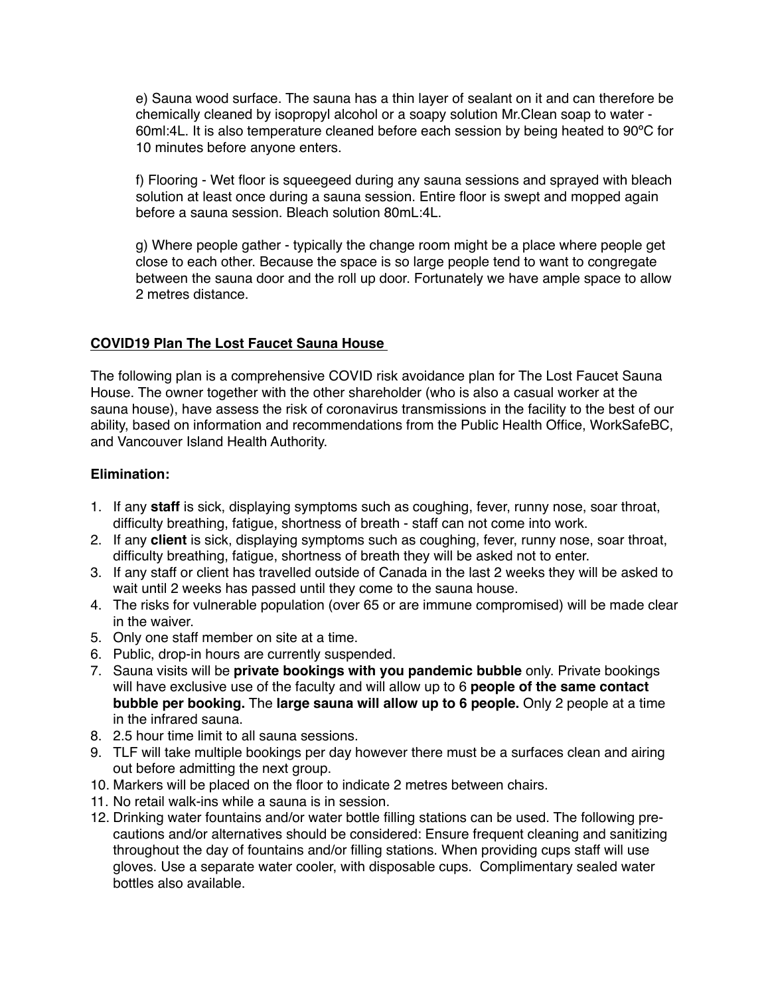e) Sauna wood surface. The sauna has a thin layer of sealant on it and can therefore be chemically cleaned by isopropyl alcohol or a soapy solution Mr.Clean soap to water - 60ml:4L. It is also temperature cleaned before each session by being heated to 90ºC for 10 minutes before anyone enters.

f) Flooring - Wet floor is squeegeed during any sauna sessions and sprayed with bleach solution at least once during a sauna session. Entire floor is swept and mopped again before a sauna session. Bleach solution 80mL:4L.

g) Where people gather - typically the change room might be a place where people get close to each other. Because the space is so large people tend to want to congregate between the sauna door and the roll up door. Fortunately we have ample space to allow 2 metres distance.

## **COVID19 Plan The Lost Faucet Sauna House**

The following plan is a comprehensive COVID risk avoidance plan for The Lost Faucet Sauna House. The owner together with the other shareholder (who is also a casual worker at the sauna house), have assess the risk of coronavirus transmissions in the facility to the best of our ability, based on information and recommendations from the Public Health Office, WorkSafeBC, and Vancouver Island Health Authority.

## **Elimination:**

- 1. If any **staff** is sick, displaying symptoms such as coughing, fever, runny nose, soar throat, difficulty breathing, fatigue, shortness of breath - staff can not come into work.
- 2. If any **client** is sick, displaying symptoms such as coughing, fever, runny nose, soar throat, difficulty breathing, fatigue, shortness of breath they will be asked not to enter.
- 3. If any staff or client has travelled outside of Canada in the last 2 weeks they will be asked to wait until 2 weeks has passed until they come to the sauna house.
- 4. The risks for vulnerable population (over 65 or are immune compromised) will be made clear in the waiver.
- 5. Only one staff member on site at a time.
- 6. Public, drop-in hours are currently suspended.
- 7. Sauna visits will be **private bookings with you pandemic bubble** only. Private bookings will have exclusive use of the faculty and will allow up to 6 **people of the same contact bubble per booking.** The **large sauna will allow up to 6 people.** Only 2 people at a time in the infrared sauna.
- 8. 2.5 hour time limit to all sauna sessions.
- 9. TLF will take multiple bookings per day however there must be a surfaces clean and airing out before admitting the next group.
- 10. Markers will be placed on the floor to indicate 2 metres between chairs.
- 11. No retail walk-ins while a sauna is in session.
- 12. Drinking water fountains and/or water bottle filling stations can be used. The following precautions and/or alternatives should be considered: Ensure frequent cleaning and sanitizing throughout the day of fountains and/or filling stations. When providing cups staff will use gloves. Use a separate water cooler, with disposable cups. Complimentary sealed water bottles also available.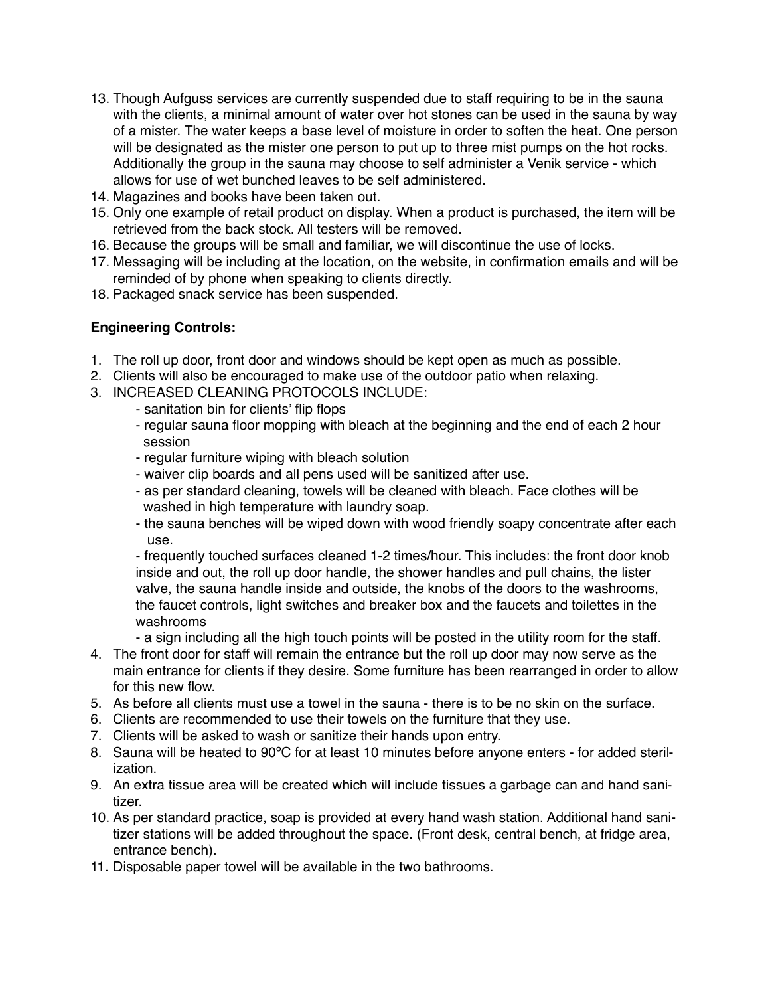- 13. Though Aufguss services are currently suspended due to staff requiring to be in the sauna with the clients, a minimal amount of water over hot stones can be used in the sauna by way of a mister. The water keeps a base level of moisture in order to soften the heat. One person will be designated as the mister one person to put up to three mist pumps on the hot rocks. Additionally the group in the sauna may choose to self administer a Venik service - which allows for use of wet bunched leaves to be self administered.
- 14. Magazines and books have been taken out.
- 15. Only one example of retail product on display. When a product is purchased, the item will be retrieved from the back stock. All testers will be removed.
- 16. Because the groups will be small and familiar, we will discontinue the use of locks.
- 17. Messaging will be including at the location, on the website, in confirmation emails and will be reminded of by phone when speaking to clients directly.
- 18. Packaged snack service has been suspended.

## **Engineering Controls:**

- 1. The roll up door, front door and windows should be kept open as much as possible.
- 2. Clients will also be encouraged to make use of the outdoor patio when relaxing.
- 3. INCREASED CLEANING PROTOCOLS INCLUDE:
	- sanitation bin for clients' flip flops
	- regular sauna floor mopping with bleach at the beginning and the end of each 2 hour session
	- regular furniture wiping with bleach solution
	- waiver clip boards and all pens used will be sanitized after use.
	- as per standard cleaning, towels will be cleaned with bleach. Face clothes will be washed in high temperature with laundry soap.
	- the sauna benches will be wiped down with wood friendly soapy concentrate after each use.

- frequently touched surfaces cleaned 1-2 times/hour. This includes: the front door knob inside and out, the roll up door handle, the shower handles and pull chains, the lister valve, the sauna handle inside and outside, the knobs of the doors to the washrooms, the faucet controls, light switches and breaker box and the faucets and toilettes in the washrooms

- a sign including all the high touch points will be posted in the utility room for the staff.
- 4. The front door for staff will remain the entrance but the roll up door may now serve as the main entrance for clients if they desire. Some furniture has been rearranged in order to allow for this new flow.
- 5. As before all clients must use a towel in the sauna there is to be no skin on the surface.
- 6. Clients are recommended to use their towels on the furniture that they use.
- 7. Clients will be asked to wash or sanitize their hands upon entry.
- 8. Sauna will be heated to 90ºC for at least 10 minutes before anyone enters for added sterilization.
- 9. An extra tissue area will be created which will include tissues a garbage can and hand sanitizer.
- 10. As per standard practice, soap is provided at every hand wash station. Additional hand sanitizer stations will be added throughout the space. (Front desk, central bench, at fridge area, entrance bench).
- 11. Disposable paper towel will be available in the two bathrooms.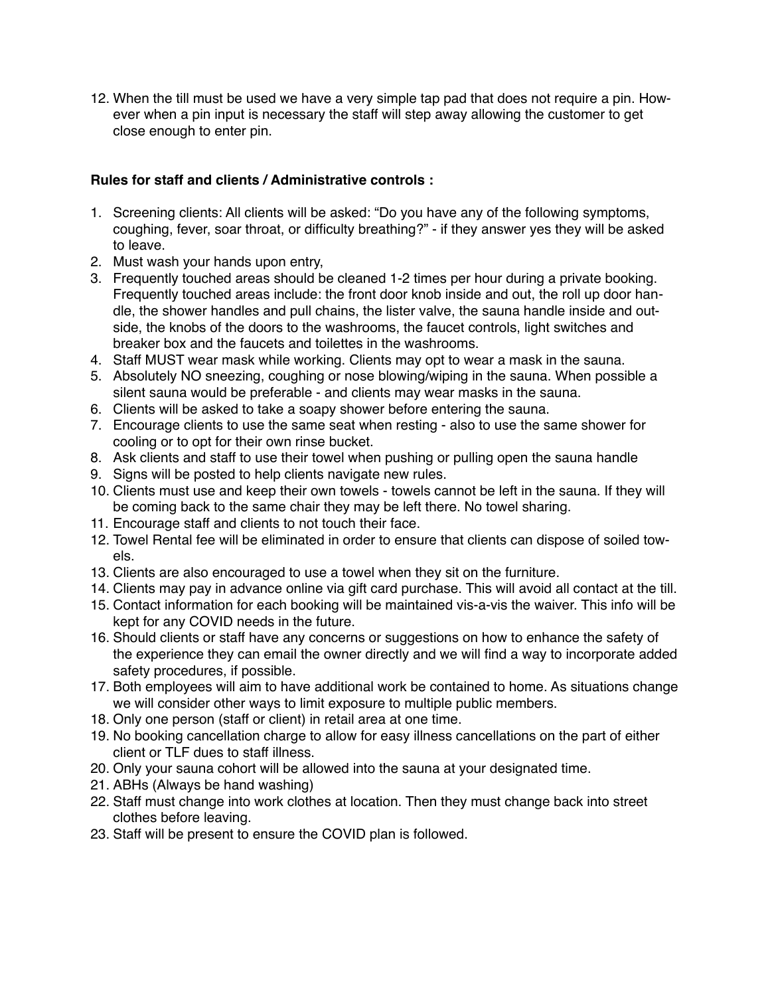12. When the till must be used we have a very simple tap pad that does not require a pin. However when a pin input is necessary the staff will step away allowing the customer to get close enough to enter pin.

# **Rules for staff and clients / Administrative controls :**

- 1. Screening clients: All clients will be asked: "Do you have any of the following symptoms, coughing, fever, soar throat, or difficulty breathing?" - if they answer yes they will be asked to leave.
- 2. Must wash your hands upon entry,
- 3. Frequently touched areas should be cleaned 1-2 times per hour during a private booking. Frequently touched areas include: the front door knob inside and out, the roll up door handle, the shower handles and pull chains, the lister valve, the sauna handle inside and outside, the knobs of the doors to the washrooms, the faucet controls, light switches and breaker box and the faucets and toilettes in the washrooms.
- 4. Staff MUST wear mask while working. Clients may opt to wear a mask in the sauna.
- 5. Absolutely NO sneezing, coughing or nose blowing/wiping in the sauna. When possible a silent sauna would be preferable - and clients may wear masks in the sauna.
- 6. Clients will be asked to take a soapy shower before entering the sauna.
- 7. Encourage clients to use the same seat when resting also to use the same shower for cooling or to opt for their own rinse bucket.
- 8. Ask clients and staff to use their towel when pushing or pulling open the sauna handle
- 9. Signs will be posted to help clients navigate new rules.
- 10. Clients must use and keep their own towels towels cannot be left in the sauna. If they will be coming back to the same chair they may be left there. No towel sharing.
- 11. Encourage staff and clients to not touch their face.
- 12. Towel Rental fee will be eliminated in order to ensure that clients can dispose of soiled towels.
- 13. Clients are also encouraged to use a towel when they sit on the furniture.
- 14. Clients may pay in advance online via gift card purchase. This will avoid all contact at the till.
- 15. Contact information for each booking will be maintained vis-a-vis the waiver. This info will be kept for any COVID needs in the future.
- 16. Should clients or staff have any concerns or suggestions on how to enhance the safety of the experience they can email the owner directly and we will find a way to incorporate added safety procedures, if possible.
- 17. Both employees will aim to have additional work be contained to home. As situations change we will consider other ways to limit exposure to multiple public members.
- 18. Only one person (staff or client) in retail area at one time.
- 19. No booking cancellation charge to allow for easy illness cancellations on the part of either client or TLF dues to staff illness.
- 20. Only your sauna cohort will be allowed into the sauna at your designated time.
- 21. ABHs (Always be hand washing)
- 22. Staff must change into work clothes at location. Then they must change back into street clothes before leaving.
- 23. Staff will be present to ensure the COVID plan is followed.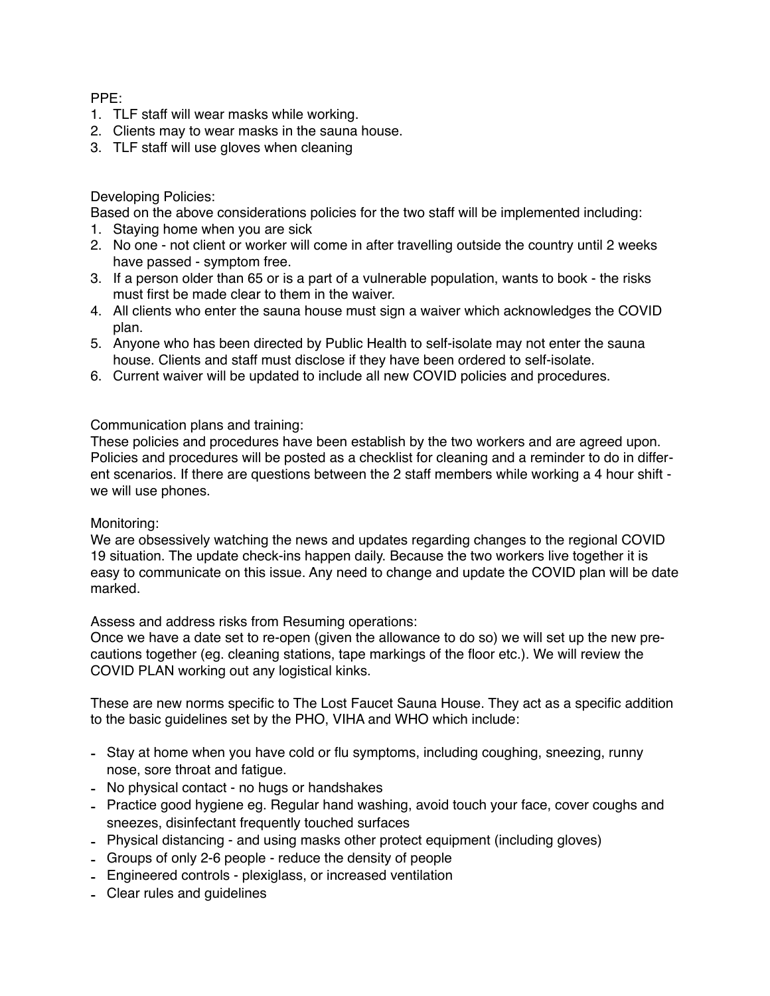PPE:

- 1. TLF staff will wear masks while working.
- 2. Clients may to wear masks in the sauna house.
- 3. TLF staff will use gloves when cleaning

## Developing Policies:

Based on the above considerations policies for the two staff will be implemented including:

- 1. Staying home when you are sick
- 2. No one not client or worker will come in after travelling outside the country until 2 weeks have passed - symptom free.
- 3. If a person older than 65 or is a part of a vulnerable population, wants to book the risks must first be made clear to them in the waiver.
- 4. All clients who enter the sauna house must sign a waiver which acknowledges the COVID plan.
- 5. Anyone who has been directed by Public Health to self-isolate may not enter the sauna house. Clients and staff must disclose if they have been ordered to self-isolate.
- 6. Current waiver will be updated to include all new COVID policies and procedures.

## Communication plans and training:

These policies and procedures have been establish by the two workers and are agreed upon. Policies and procedures will be posted as a checklist for cleaning and a reminder to do in different scenarios. If there are questions between the 2 staff members while working a 4 hour shift we will use phones.

#### Monitoring:

We are obsessively watching the news and updates regarding changes to the regional COVID 19 situation. The update check-ins happen daily. Because the two workers live together it is easy to communicate on this issue. Any need to change and update the COVID plan will be date marked.

Assess and address risks from Resuming operations:

Once we have a date set to re-open (given the allowance to do so) we will set up the new precautions together (eg. cleaning stations, tape markings of the floor etc.). We will review the COVID PLAN working out any logistical kinks.

These are new norms specific to The Lost Faucet Sauna House. They act as a specific addition to the basic guidelines set by the PHO, VIHA and WHO which include:

- Stay at home when you have cold or flu symptoms, including coughing, sneezing, runny nose, sore throat and fatigue.
- No physical contact no hugs or handshakes
- Practice good hygiene eg. Regular hand washing, avoid touch your face, cover coughs and sneezes, disinfectant frequently touched surfaces
- Physical distancing and using masks other protect equipment (including gloves)
- Groups of only 2-6 people reduce the density of people
- Engineered controls plexiglass, or increased ventilation
- Clear rules and guidelines